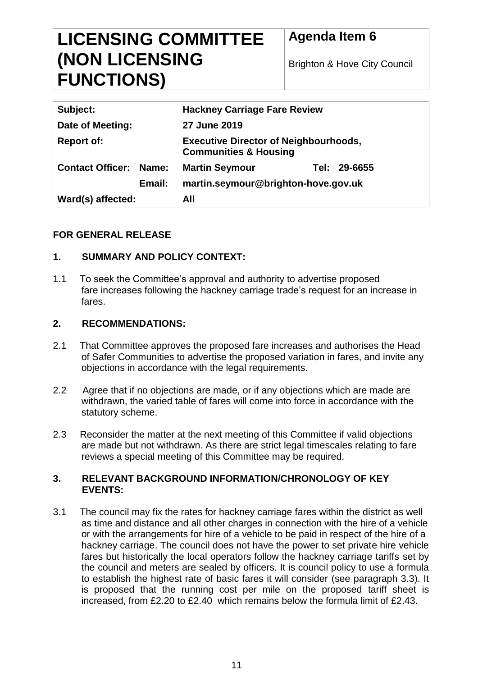# **LICENSING COMMITTEE (NON LICENSING FUNCTIONS)**

# **Agenda Item 6**

Brighton & Hove City Council

| Subject:                      |        | <b>Hackney Carriage Fare Review</b>                                              |  |              |
|-------------------------------|--------|----------------------------------------------------------------------------------|--|--------------|
| Date of Meeting:              |        | 27 June 2019                                                                     |  |              |
| <b>Report of:</b>             |        | <b>Executive Director of Neighbourhoods,</b><br><b>Communities &amp; Housing</b> |  |              |
| <b>Contact Officer: Name:</b> |        | <b>Martin Seymour</b>                                                            |  | Tel: 29-6655 |
|                               | Email: | martin.seymour@brighton-hove.gov.uk                                              |  |              |
| Ward(s) affected:             |        | All                                                                              |  |              |

# **FOR GENERAL RELEASE**

# **1. SUMMARY AND POLICY CONTEXT:**

1.1 To seek the Committee's approval and authority to advertise proposed fare increases following the hackney carriage trade's request for an increase in fares.

# **2. RECOMMENDATIONS:**

- 2.1 That Committee approves the proposed fare increases and authorises the Head of Safer Communities to advertise the proposed variation in fares, and invite any objections in accordance with the legal requirements.
- 2.2 Agree that if no objections are made, or if any objections which are made are withdrawn, the varied table of fares will come into force in accordance with the statutory scheme.
- 2.3 Reconsider the matter at the next meeting of this Committee if valid objections are made but not withdrawn. As there are strict legal timescales relating to fare reviews a special meeting of this Committee may be required.

#### **3. RELEVANT BACKGROUND INFORMATION/CHRONOLOGY OF KEY EVENTS:**

3.1 The council may fix the rates for hackney carriage fares within the district as well as time and distance and all other charges in connection with the hire of a vehicle or with the arrangements for hire of a vehicle to be paid in respect of the hire of a hackney carriage. The council does not have the power to set private hire vehicle fares but historically the local operators follow the hackney carriage tariffs set by the council and meters are sealed by officers. It is council policy to use a formula to establish the highest rate of basic fares it will consider (see paragraph 3.3). It is proposed that the running cost per mile on the proposed tariff sheet is increased, from £2.20 to £2.40 which remains below the formula limit of £2.43.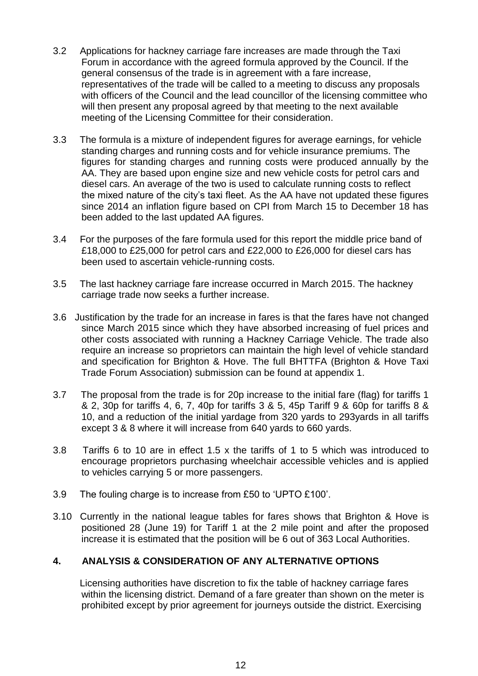- 3.2 Applications for hackney carriage fare increases are made through the Taxi Forum in accordance with the agreed formula approved by the Council. If the general consensus of the trade is in agreement with a fare increase, representatives of the trade will be called to a meeting to discuss any proposals with officers of the Council and the lead councillor of the licensing committee who will then present any proposal agreed by that meeting to the next available meeting of the Licensing Committee for their consideration.
- 3.3 The formula is a mixture of independent figures for average earnings, for vehicle standing charges and running costs and for vehicle insurance premiums. The figures for standing charges and running costs were produced annually by the AA. They are based upon engine size and new vehicle costs for petrol cars and diesel cars. An average of the two is used to calculate running costs to reflect the mixed nature of the city's taxi fleet. As the AA have not updated these figures since 2014 an inflation figure based on CPI from March 15 to December 18 has been added to the last updated AA figures.
- 3.4 For the purposes of the fare formula used for this report the middle price band of £18,000 to £25,000 for petrol cars and £22,000 to £26,000 for diesel cars has been used to ascertain vehicle-running costs.
- 3.5 The last hackney carriage fare increase occurred in March 2015. The hackney carriage trade now seeks a further increase.
- 3.6 Justification by the trade for an increase in fares is that the fares have not changed since March 2015 since which they have absorbed increasing of fuel prices and other costs associated with running a Hackney Carriage Vehicle. The trade also require an increase so proprietors can maintain the high level of vehicle standard and specification for Brighton & Hove. The full BHTTFA (Brighton & Hove Taxi Trade Forum Association) submission can be found at appendix 1.
- 3.7 The proposal from the trade is for 20p increase to the initial fare (flag) for tariffs 1 & 2, 30p for tariffs 4, 6, 7, 40p for tariffs 3 & 5, 45p Tariff 9 & 60p for tariffs 8 & 10, and a reduction of the initial yardage from 320 yards to 293yards in all tariffs except 3 & 8 where it will increase from 640 yards to 660 yards.
- 3.8 Tariffs 6 to 10 are in effect 1.5 x the tariffs of 1 to 5 which was introduced to encourage proprietors purchasing wheelchair accessible vehicles and is applied to vehicles carrying 5 or more passengers.
- 3.9 The fouling charge is to increase from £50 to 'UPTO £100'.
- 3.10 Currently in the national league tables for fares shows that Brighton & Hove is positioned 28 (June 19) for Tariff 1 at the 2 mile point and after the proposed increase it is estimated that the position will be 6 out of 363 Local Authorities.

## **4. ANALYSIS & CONSIDERATION OF ANY ALTERNATIVE OPTIONS**

 Licensing authorities have discretion to fix the table of hackney carriage fares within the licensing district. Demand of a fare greater than shown on the meter is prohibited except by prior agreement for journeys outside the district. Exercising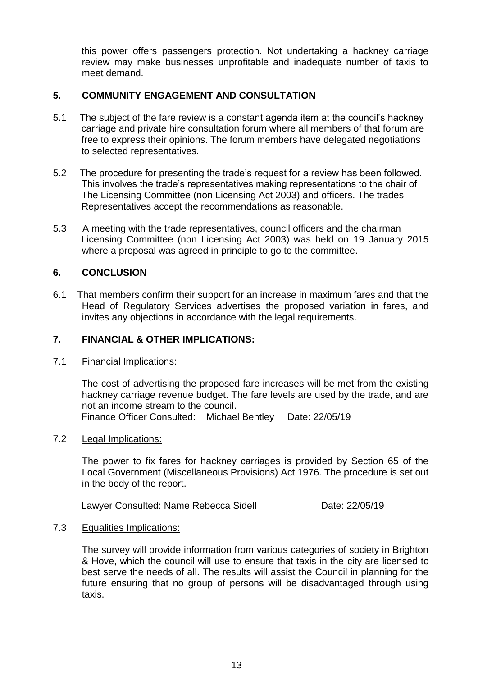this power offers passengers protection. Not undertaking a hackney carriage review may make businesses unprofitable and inadequate number of taxis to meet demand.

#### **5. COMMUNITY ENGAGEMENT AND CONSULTATION**

- 5.1 The subject of the fare review is a constant agenda item at the council's hackney carriage and private hire consultation forum where all members of that forum are free to express their opinions. The forum members have delegated negotiations to selected representatives.
- 5.2 The procedure for presenting the trade's request for a review has been followed. This involves the trade's representatives making representations to the chair of The Licensing Committee (non Licensing Act 2003) and officers. The trades Representatives accept the recommendations as reasonable.
- 5.3 A meeting with the trade representatives, council officers and the chairman Licensing Committee (non Licensing Act 2003) was held on 19 January 2015 where a proposal was agreed in principle to go to the committee.

#### **6. CONCLUSION**

6.1 That members confirm their support for an increase in maximum fares and that the Head of Regulatory Services advertises the proposed variation in fares, and invites any objections in accordance with the legal requirements.

#### **7. FINANCIAL & OTHER IMPLICATIONS:**

#### 7.1 Financial Implications:

The cost of advertising the proposed fare increases will be met from the existing hackney carriage revenue budget. The fare levels are used by the trade, and are not an income stream to the council.

Finance Officer Consulted: Michael Bentley Date: 22/05/19

#### 7.2 Legal Implications:

The power to fix fares for hackney carriages is provided by Section 65 of the Local Government (Miscellaneous Provisions) Act 1976. The procedure is set out in the body of the report.

Lawyer Consulted: Name Rebecca Sidell **Date: 22/05/19** 

#### 7.3 Equalities Implications:

The survey will provide information from various categories of society in Brighton & Hove, which the council will use to ensure that taxis in the city are licensed to best serve the needs of all. The results will assist the Council in planning for the future ensuring that no group of persons will be disadvantaged through using taxis.